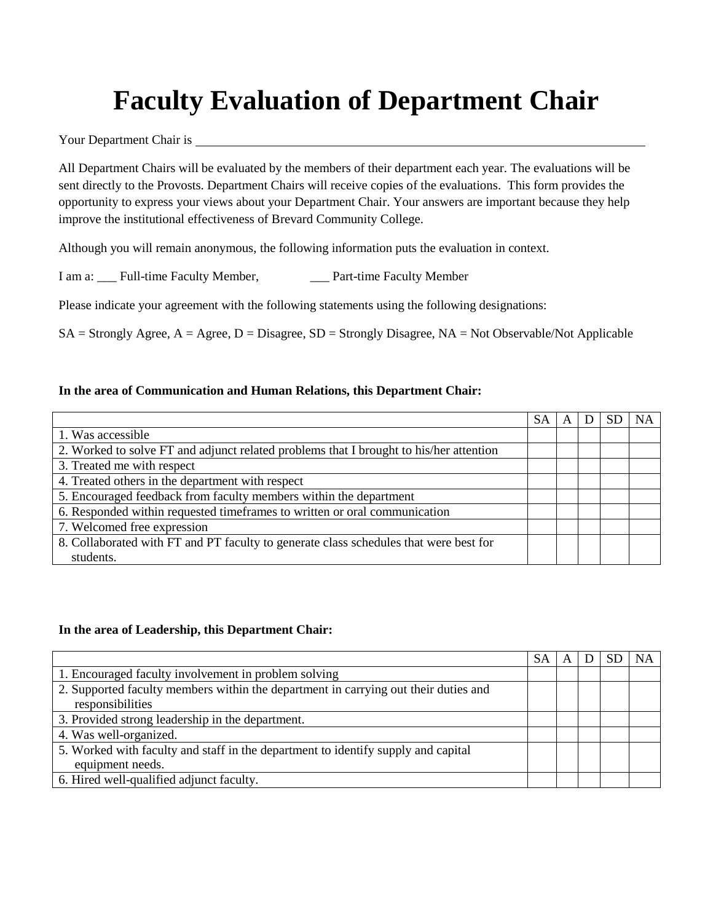# **Faculty Evaluation of Department Chair**

Your Department Chair is

All Department Chairs will be evaluated by the members of their department each year. The evaluations will be sent directly to the Provosts. Department Chairs will receive copies of the evaluations. This form provides the opportunity to express your views about your Department Chair. Your answers are important because they help improve the institutional effectiveness of Brevard Community College.

Although you will remain anonymous, the following information puts the evaluation in context.

I am a: Full-time Faculty Member, Part-time Faculty Member

Please indicate your agreement with the following statements using the following designations:

 $SA =$  Strongly Agree,  $A =$  Agree,  $D =$  Disagree,  $SD =$  Strongly Disagree,  $NA =$  Not Observable/Not Applicable

#### **In the area of Communication and Human Relations, this Department Chair:**

|                                                                                        | <b>SA</b> |  | <b>NA</b> |
|----------------------------------------------------------------------------------------|-----------|--|-----------|
| 1. Was accessible                                                                      |           |  |           |
| 2. Worked to solve FT and adjunct related problems that I brought to his/her attention |           |  |           |
| 3. Treated me with respect                                                             |           |  |           |
| 4. Treated others in the department with respect                                       |           |  |           |
| 5. Encouraged feedback from faculty members within the department                      |           |  |           |
| 6. Responded within requested timeframes to written or oral communication              |           |  |           |
| 7. Welcomed free expression                                                            |           |  |           |
| 8. Collaborated with FT and PT faculty to generate class schedules that were best for  |           |  |           |
| students.                                                                              |           |  |           |

#### **In the area of Leadership, this Department Chair:**

|                                                                                     | SА |  | <b>NA</b> |
|-------------------------------------------------------------------------------------|----|--|-----------|
| 1. Encouraged faculty involvement in problem solving                                |    |  |           |
| 2. Supported faculty members within the department in carrying out their duties and |    |  |           |
| responsibilities                                                                    |    |  |           |
| 3. Provided strong leadership in the department.                                    |    |  |           |
| 4. Was well-organized.                                                              |    |  |           |
| 5. Worked with faculty and staff in the department to identify supply and capital   |    |  |           |
| equipment needs.                                                                    |    |  |           |
| 6. Hired well-qualified adjunct faculty.                                            |    |  |           |